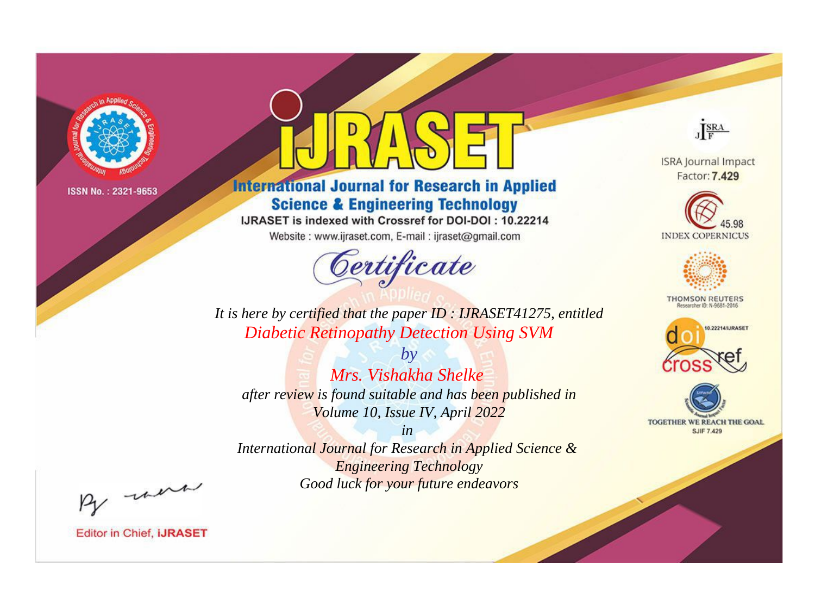

# **International Journal for Research in Applied Science & Engineering Technology**

IJRASET is indexed with Crossref for DOI-DOI: 10.22214

Website: www.ijraset.com, E-mail: ijraset@gmail.com



JERA

**ISRA Journal Impact** Factor: 7.429





**THOMSON REUTERS** 



TOGETHER WE REACH THE GOAL **SJIF 7.429** 

It is here by certified that the paper ID: IJRASET41275, entitled **Diabetic Retinopathy Detection Using SVM** 

 $b\nu$ Mrs. Vishakha Shelke after review is found suitable and has been published in Volume 10, Issue IV, April 2022

 $in$ International Journal for Research in Applied Science & **Engineering Technology** Good luck for your future endeavors

By morn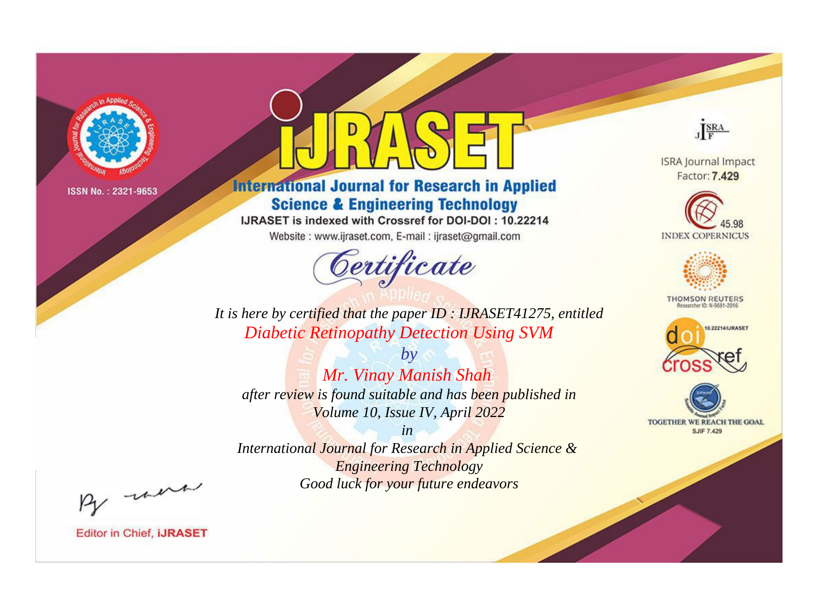

# **International Journal for Research in Applied Science & Engineering Technology**

IJRASET is indexed with Crossref for DOI-DOI: 10.22214

Website: www.ijraset.com, E-mail: ijraset@gmail.com



JERA

**ISRA Journal Impact** Factor: 7.429





**THOMSON REUTERS** 



TOGETHER WE REACH THE GOAL **SJIF 7.429** 

*It is here by certified that the paper ID : IJRASET41275, entitled Diabetic Retinopathy Detection Using SVM*

*Mr. Vinay Manish Shah after review is found suitable and has been published in Volume 10, Issue IV, April 2022*

*by*

*in* 

*International Journal for Research in Applied Science & Engineering Technology Good luck for your future endeavors*

By morn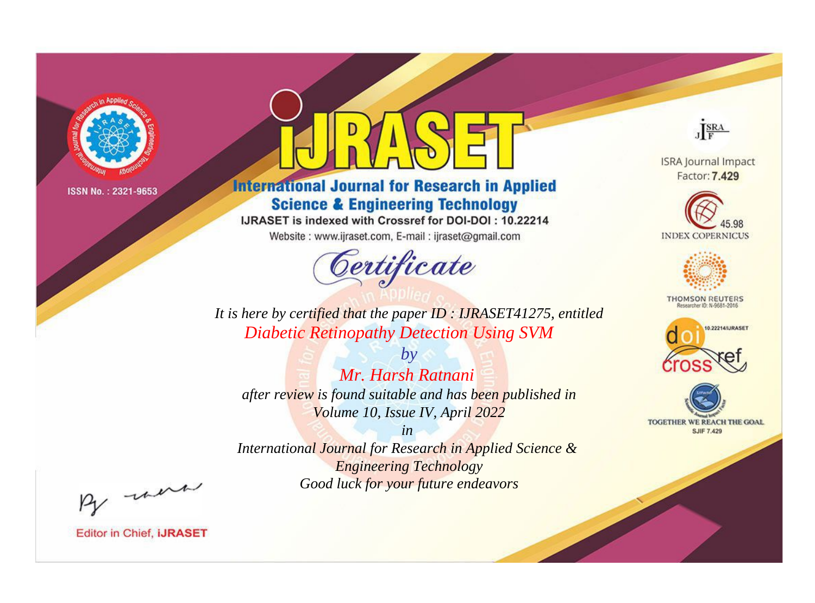

# **International Journal for Research in Applied Science & Engineering Technology**

IJRASET is indexed with Crossref for DOI-DOI: 10.22214

Website: www.ijraset.com, E-mail: ijraset@gmail.com



JERA

**ISRA Journal Impact** Factor: 7.429





**THOMSON REUTERS** 



TOGETHER WE REACH THE GOAL **SJIF 7.429** 

*It is here by certified that the paper ID : IJRASET41275, entitled Diabetic Retinopathy Detection Using SVM*

*Mr. Harsh Ratnani after review is found suitable and has been published in Volume 10, Issue IV, April 2022*

*by*

*in* 

*International Journal for Research in Applied Science & Engineering Technology Good luck for your future endeavors*

By morn